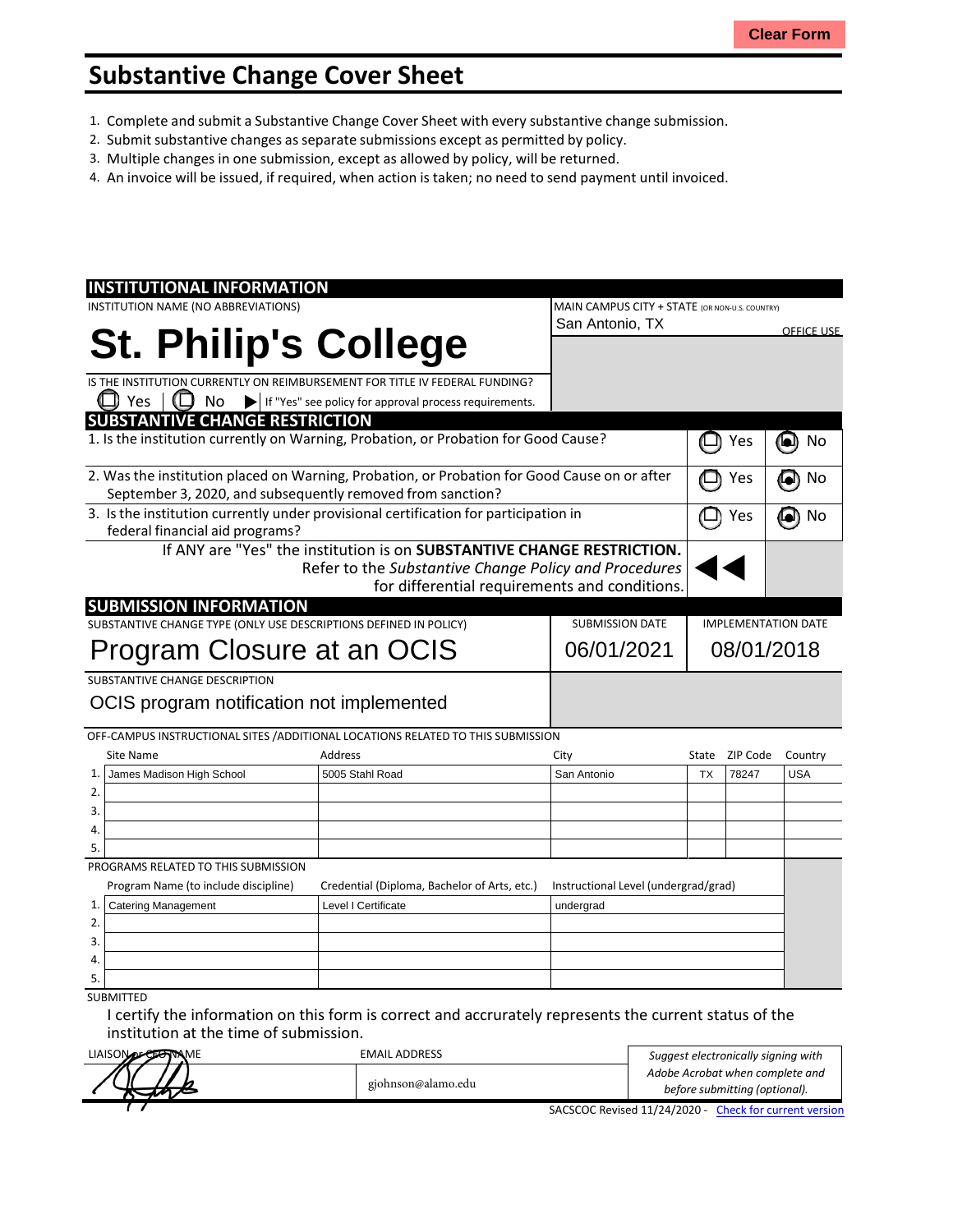## **Substantive Change Cover Sheet**

- 1. Complete and submit a Substantive Change Cover Sheet with every substantive change submission.
- 2. Submit substantive changes asseparate submissions except as permitted by policy.
- 3. Multiple changes in one submission, except as allowed by policy, will be returned.
- 4. An invoice will be issued, if required, when action is taken; no need to send payment until invoiced.

| <b>INSTITUTIONAL INFORMATION</b>                                                     |                                                                                              |                                                |           |          |                   |
|--------------------------------------------------------------------------------------|----------------------------------------------------------------------------------------------|------------------------------------------------|-----------|----------|-------------------|
| INSTITUTION NAME (NO ABBREVIATIONS)                                                  |                                                                                              | MAIN CAMPUS CITY + STATE (OR NON-U.S. COUNTRY) |           |          |                   |
|                                                                                      |                                                                                              | San Antonio, TX                                |           |          | <u>OFFICE USE</u> |
| <b>St. Philip's College</b>                                                          |                                                                                              |                                                |           |          |                   |
|                                                                                      |                                                                                              |                                                |           |          |                   |
| IS THE INSTITUTION CURRENTLY ON REIMBURSEMENT FOR TITLE IV FEDERAL FUNDING?          |                                                                                              |                                                |           |          |                   |
| Yes<br>No                                                                            | If "Yes" see policy for approval process requirements.                                       |                                                |           |          |                   |
| <b>SUBSTANTIVE CHANGE RESTRICTION</b>                                                |                                                                                              |                                                |           |          |                   |
|                                                                                      | 1. Is the institution currently on Warning, Probation, or Probation for Good Cause?          |                                                |           | Yes      | No<br>ð           |
|                                                                                      | 2. Was the institution placed on Warning, Probation, or Probation for Good Cause on or after |                                                |           | Yes      | No<br>$\bullet$   |
| September 3, 2020, and subsequently removed from sanction?                           |                                                                                              |                                                |           |          |                   |
| 3. Is the institution currently under provisional certification for participation in |                                                                                              |                                                |           | Yes      | No                |
| federal financial aid programs?                                                      |                                                                                              |                                                |           |          |                   |
|                                                                                      | If ANY are "Yes" the institution is on SUBSTANTIVE CHANGE RESTRICTION.                       |                                                |           |          |                   |
|                                                                                      | Refer to the Substantive Change Policy and Procedures                                        |                                                |           |          |                   |
|                                                                                      | for differential requirements and conditions.                                                |                                                |           |          |                   |
| <b>SUBMISSION INFORMATION</b>                                                        |                                                                                              |                                                |           |          |                   |
| SUBSTANTIVE CHANGE TYPE (ONLY USE DESCRIPTIONS DEFINED IN POLICY)                    | <b>SUBMISSION DATE</b>                                                                       | <b>IMPLEMENTATION DATE</b>                     |           |          |                   |
| Program Closure at an OCIS                                                           | 06/01/2021                                                                                   | 08/01/2018                                     |           |          |                   |
|                                                                                      |                                                                                              |                                                |           |          |                   |
| SUBSTANTIVE CHANGE DESCRIPTION                                                       |                                                                                              |                                                |           |          |                   |
| OCIS program notification not implemented                                            |                                                                                              |                                                |           |          |                   |
|                                                                                      |                                                                                              |                                                |           |          |                   |
|                                                                                      | OFF-CAMPUS INSTRUCTIONAL SITES / ADDITIONAL LOCATIONS RELATED TO THIS SUBMISSION             |                                                |           |          |                   |
| <b>Site Name</b>                                                                     | Address                                                                                      | City                                           | State     | ZIP Code | Country           |
| James Madison High School<br>1.                                                      | 5005 Stahl Road                                                                              | San Antonio                                    | <b>TX</b> | 78247    | <b>USA</b>        |
| 2.                                                                                   |                                                                                              |                                                |           |          |                   |
| 3.                                                                                   |                                                                                              |                                                |           |          |                   |
| 4.                                                                                   |                                                                                              |                                                |           |          |                   |
| 5.                                                                                   |                                                                                              |                                                |           |          |                   |
| PROGRAMS RELATED TO THIS SUBMISSION                                                  |                                                                                              |                                                |           |          |                   |
| Program Name (to include discipline)                                                 | Credential (Diploma, Bachelor of Arts, etc.)                                                 | Instructional Level (undergrad/grad)           |           |          |                   |
| <b>Catering Management</b><br>1.                                                     | Level I Certificate                                                                          | undergrad                                      |           |          |                   |
| 2.                                                                                   |                                                                                              |                                                |           |          |                   |
| 3.                                                                                   |                                                                                              |                                                |           |          |                   |
| 4.                                                                                   |                                                                                              |                                                |           |          |                   |
| 5.                                                                                   |                                                                                              |                                                |           |          |                   |
| <b>SUBMITTED</b>                                                                     |                                                                                              |                                                |           |          |                   |

I certify the information on this form is correct and accrurately represents the current status of the institution at the time of submission.

| LIAISON DECEMBRAME | <b>EMAIL ADDRESS</b> | Suggest electronically signing with                   |
|--------------------|----------------------|-------------------------------------------------------|
|                    |                      | Adobe Acrobat when complete and                       |
|                    | gjohnson@alamo.edu   | before submitting (optional).                         |
|                    |                      | SACSCOC Revised 11/24/2020 - Check for current versio |

SACSCOC Revised 11/24/2020 - Check for current version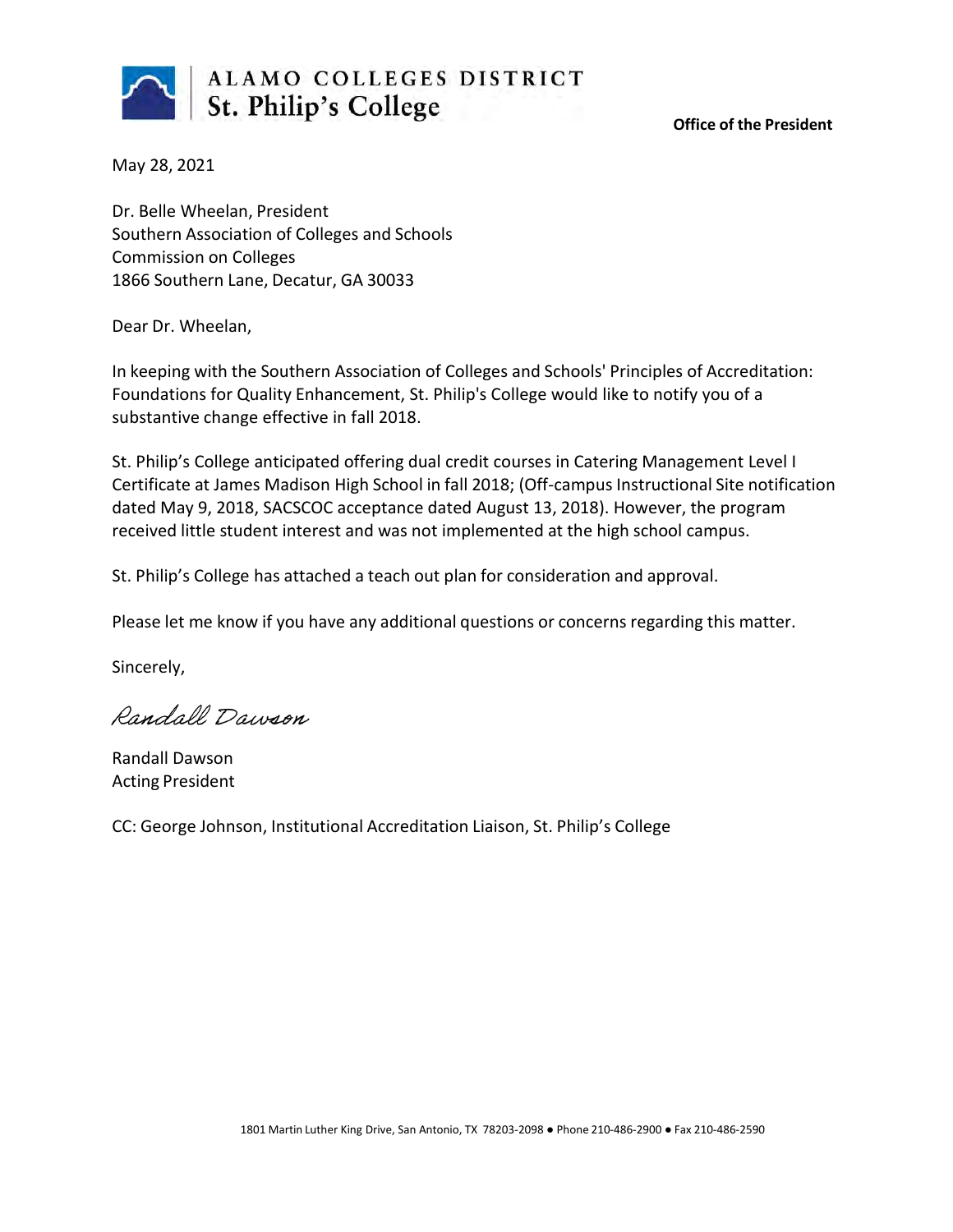

**Office of the President**

May 28, 2021

Dr. Belle Wheelan, President Southern Association of Colleges and Schools Commission on Colleges 1866 Southern Lane, Decatur, GA 30033

Dear Dr. Wheelan,

In keeping with the Southern Association of Colleges and Schools' Principles of Accreditation: Foundations for Quality Enhancement, St. Philip's College would like to notify you of a substantive change effective in fall 2018.

St. Philip's College anticipated offering dual credit courses in Catering Management Level I Certificate at James Madison High School in fall 2018; (Off-campus Instructional Site notification dated May 9, 2018, SACSCOC acceptance dated August 13, 2018). However, the program received little student interest and was not implemented at the high school campus.

St. Philip's College has attached a teach out plan for consideration and approval.

Please let me know if you have any additional questions or concerns regarding this matter.

Sincerely,

Randall Dawson

Randall Dawson Acting President

CC: George Johnson, Institutional Accreditation Liaison, St. Philip's College